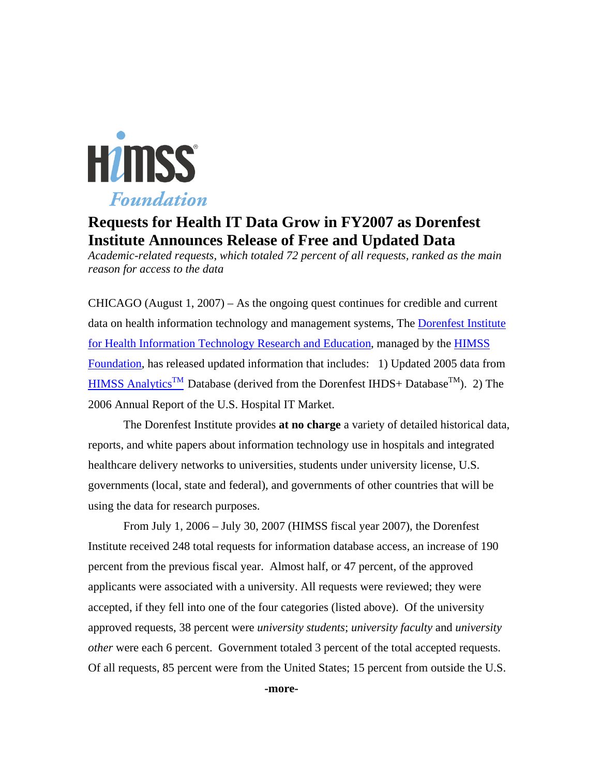

# **Requests for Health IT Data Grow in FY2007 as Dorenfest Institute Announces Release of Free and Updated Data**

*Academic-related requests, which totaled 72 percent of all requests, ranked as the main reason for access to the data* 

CHICAGO (August  $1, 2007$ ) – As the ongoing quest continues for credible and current data on health information technology and management systems, The [Dorenfest Institute](http://www.himss.org/foundation/histdata.asp)  [for Health Information Technology Research and Education,](http://www.himss.org/foundation/histdata.asp) managed by the [HIMSS](http://www.himss.org/foundation/)  [Foundation,](http://www.himss.org/foundation/) has released updated information that includes: 1) Updated 2005 data from [HIMSS Analytics](http://www.himssanalytics.org/)<sup>TM</sup> Database (derived from the Dorenfest IHDS+ Database<sup>TM</sup>). 2) The 2006 Annual Report of the U.S. Hospital IT Market.

The Dorenfest Institute provides **at no charge** a variety of detailed historical data, reports, and white papers about information technology use in hospitals and integrated healthcare delivery networks to universities, students under university license, U.S. governments (local, state and federal), and governments of other countries that will be using the data for research purposes.

 From July 1, 2006 – July 30, 2007 (HIMSS fiscal year 2007), the Dorenfest Institute received 248 total requests for information database access, an increase of 190 percent from the previous fiscal year. Almost half, or 47 percent, of the approved applicants were associated with a university. All requests were reviewed; they were accepted, if they fell into one of the four categories (listed above). Of the university approved requests, 38 percent were *university students*; *university faculty* and *university other* were each 6 percent. Government totaled 3 percent of the total accepted requests. Of all requests, 85 percent were from the United States; 15 percent from outside the U.S.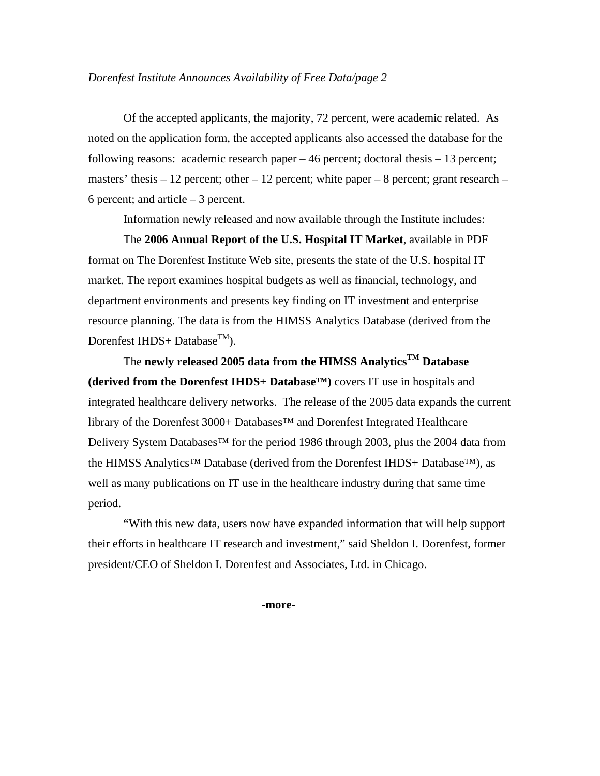# *Dorenfest Institute Announces Availability of Free Data/page 2*

Of the accepted applicants, the majority, 72 percent, were academic related. As noted on the application form, the accepted applicants also accessed the database for the following reasons: academic research paper – 46 percent; doctoral thesis – 13 percent; masters' thesis  $-12$  percent; other  $-12$  percent; white paper  $-8$  percent; grant research  $-$ 6 percent; and article – 3 percent.

Information newly released and now available through the Institute includes:

The **2006 Annual Report of the U.S. Hospital IT Market**, available in PDF format on The Dorenfest Institute Web site, presents the state of the U.S. hospital IT market. The report examines hospital budgets as well as financial, technology, and department environments and presents key finding on IT investment and enterprise resource planning. The data is from the HIMSS Analytics Database (derived from the Dorenfest IHDS+ Database<sup>TM</sup>).

The **newly released 2005 data from the HIMSS AnalyticsTM Database (derived from the Dorenfest IHDS+ Database™)** covers IT use in hospitals and integrated healthcare delivery networks. The release of the 2005 data expands the current library of the Dorenfest 3000+ Databases™ and Dorenfest Integrated Healthcare Delivery System Databases<sup>™</sup> for the period 1986 through 2003, plus the 2004 data from the HIMSS Analytics™ Database (derived from the Dorenfest IHDS+ Database™), as well as many publications on IT use in the healthcare industry during that same time period.

"With this new data, users now have expanded information that will help support their efforts in healthcare IT research and investment," said Sheldon I. Dorenfest, former president/CEO of Sheldon I. Dorenfest and Associates, Ltd. in Chicago.

**-more-**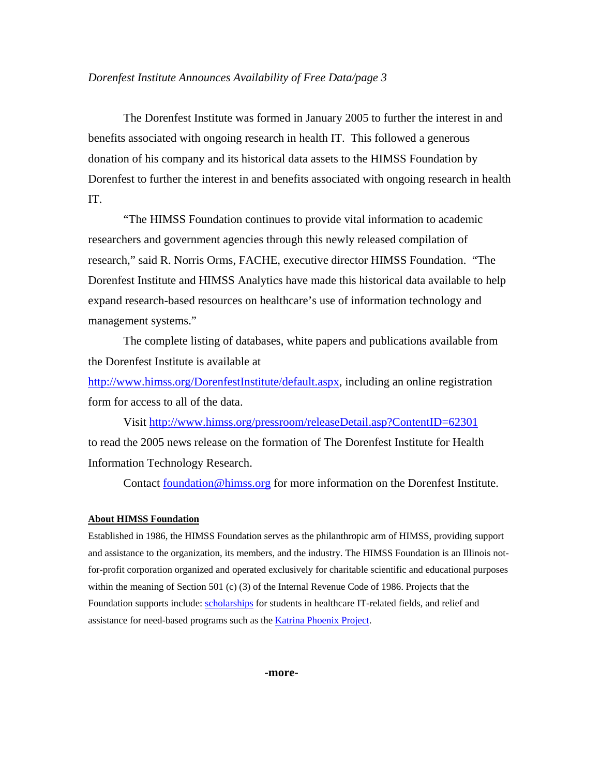## *Dorenfest Institute Announces Availability of Free Data/page 3*

The Dorenfest Institute was formed in January 2005 to further the interest in and benefits associated with ongoing research in health IT. This followed a generous donation of his company and its historical data assets to the HIMSS Foundation by Dorenfest to further the interest in and benefits associated with ongoing research in health IT.

 "The HIMSS Foundation continues to provide vital information to academic researchers and government agencies through this newly released compilation of research," said R. Norris Orms, FACHE, executive director HIMSS Foundation. "The Dorenfest Institute and HIMSS Analytics have made this historical data available to help expand research-based resources on healthcare's use of information technology and management systems."

 The complete listing of databases, white papers and publications available from the Dorenfest Institute is available at

<http://www.himss.org/DorenfestInstitute/default.aspx>, including an online registration form for access to all of the data.

Visit<http://www.himss.org/pressroom/releaseDetail.asp?ContentID=62301> to read the 2005 news release on the formation of The Dorenfest Institute for Health Information Technology Research.

Contact [foundation@himss.org](mailto:foundation@himss.org) for more information on the Dorenfest Institute.

### **About HIMSS Foundation**

Established in 1986, the HIMSS Foundation serves as the philanthropic arm of HIMSS, providing support and assistance to the organization, its members, and the industry. The HIMSS Foundation is an Illinois notfor-profit corporation organized and operated exclusively for charitable scientific and educational purposes within the meaning of Section 501 (c) (3) of the Internal Revenue Code of 1986. Projects that the Foundation supports include: [scholarships](http://www.himss.org/foundation/schlr.asp) for students in healthcare IT-related fields, and relief and assistance for need-based programs such as the [Katrina Phoenix Project.](http://www.himss.org/ASP/topics_FocusDynamic.asp?faid=137)

**-more-**